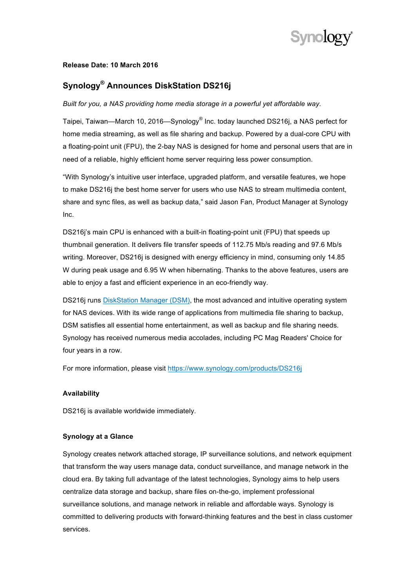

### **Release Date: 10 March 2016**

# **Synology® Announces DiskStation DS216j**

*Built for you, a NAS providing home media storage in a powerful yet affordable way.* 

Taipei, Taiwan—March 10, 2016—Synology® Inc. today launched DS216j, a NAS perfect for home media streaming, as well as file sharing and backup. Powered by a dual-core CPU with a floating-point unit (FPU), the 2-bay NAS is designed for home and personal users that are in need of a reliable, highly efficient home server requiring less power consumption.

"With Synology's intuitive user interface, upgraded platform, and versatile features, we hope to make DS216j the best home server for users who use NAS to stream multimedia content, share and sync files, as well as backup data," said Jason Fan, Product Manager at Synology Inc.

DS216j's main CPU is enhanced with a built-in floating-point unit (FPU) that speeds up thumbnail generation. It delivers file transfer speeds of 112.75 Mb/s reading and 97.6 Mb/s writing. Moreover, DS216j is designed with energy efficiency in mind, consuming only 14.85 W during peak usage and 6.95 W when hibernating. Thanks to the above features, users are able to enjoy a fast and efficient experience in an eco-friendly way.

DS216j runs DiskStation Manager (DSM), the most advanced and intuitive operating system for NAS devices. With its wide range of applications from multimedia file sharing to backup, DSM satisfies all essential home entertainment, as well as backup and file sharing needs. Synology has received numerous media accolades, including PC Mag Readers' Choice for four years in a row.

For more information, please visit https://www.synology.com/products/DS216j

## **Availability**

DS216i is available worldwide immediately.

#### **Synology at a Glance**

Synology creates network attached storage, IP surveillance solutions, and network equipment that transform the way users manage data, conduct surveillance, and manage network in the cloud era. By taking full advantage of the latest technologies, Synology aims to help users centralize data storage and backup, share files on-the-go, implement professional surveillance solutions, and manage network in reliable and affordable ways. Synology is committed to delivering products with forward-thinking features and the best in class customer services.